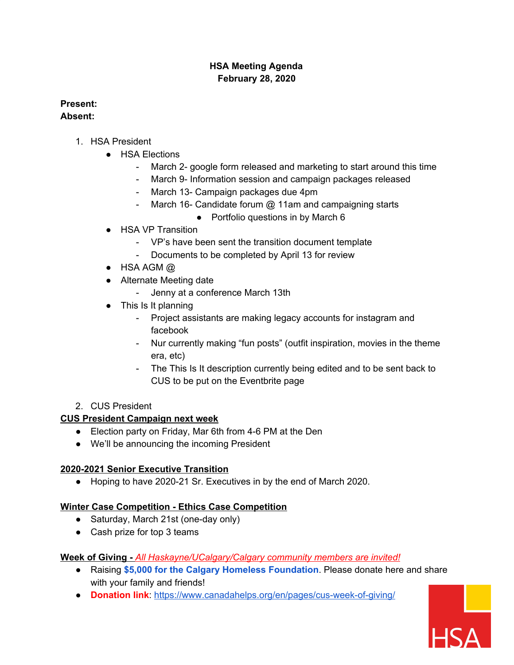### **HSA Meeting Agenda February 28, 2020**

# **Present:**

#### **Absent:**

- 1. HSA President
	- HSA Elections
		- March 2- google form released and marketing to start around this time
		- March 9- Information session and campaign packages released
		- March 13- Campaign packages due 4pm
		- March 16- Candidate forum @ 11am and campaigning starts
			- Portfolio questions in by March 6
	- HSA VP Transition
		- VP's have been sent the transition document template
		- Documents to be completed by April 13 for review
	- $\bullet$  HSA AGM  $@$
	- Alternate Meeting date
		- Jenny at a conference March 13th
	- This Is It planning
		- Project assistants are making legacy accounts for instagram and facebook
		- Nur currently making "fun posts" (outfit inspiration, movies in the theme era, etc)
		- The This Is It description currently being edited and to be sent back to CUS to be put on the Eventbrite page

### 2. CUS President

# **CUS President Campaign next week**

- Election party on Friday, Mar 6th from 4-6 PM at the Den
- We'll be announcing the incoming President

# **2020-2021 Senior Executive Transition**

● Hoping to have 2020-21 Sr. Executives in by the end of March 2020.

# **Winter Case Competition - Ethics Case Competition**

- Saturday, March 21st (one-day only)
- Cash prize for top 3 teams

### **Week of Giving -** *All Haskayne/UCalgary/Calgary community members are invited!*

- Raising **\$5,000 for the Calgary Homeless Foundation**. Please donate here and share with your family and friends!
- **Donation link**: <https://www.canadahelps.org/en/pages/cus-week-of-giving/>

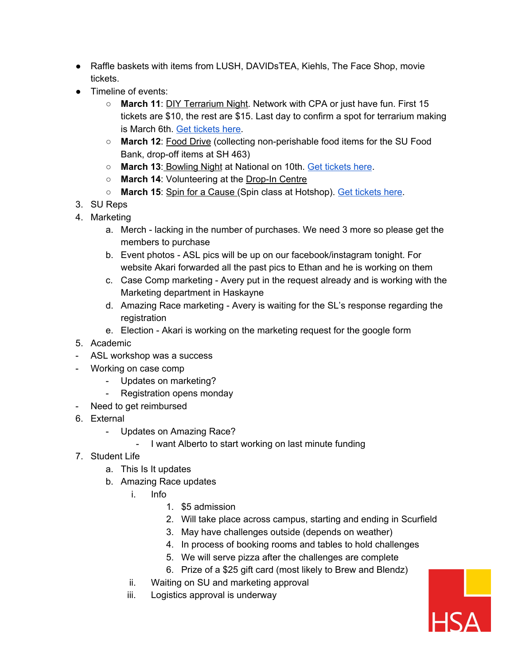- Raffle baskets with items from LUSH, DAVIDsTEA, Kiehls, The Face Shop, movie tickets.
- Timeline of events:
	- **March 11**: DIY Terrarium Night. Network with CPA or just have fun. First 15 tickets are \$10, the rest are \$15. Last day to confirm a spot for terrarium making is March 6th. Get [tickets](https://www.eventbrite.com/e/95773981557) here.
	- **March 12**: Food Drive (collecting non-perishable food items for the SU Food Bank, drop-off items at SH 463)
	- **March 13**: Bowling Night at National on 10th. Get [tickets](https://www.eventbrite.com/e/95002014583) here.
	- **March 14**: Volunteering at the Drop-In Centre
	- **March 15**: Spin for a Cause (Spin class at Hotshop). Get [tickets](https://www.eventbrite.com/e/95010602269) here.
- 3. SU Reps
- 4. Marketing
	- a. Merch lacking in the number of purchases. We need 3 more so please get the members to purchase
	- b. Event photos ASL pics will be up on our facebook/instagram tonight. For website Akari forwarded all the past pics to Ethan and he is working on them
	- c. Case Comp marketing Avery put in the request already and is working with the Marketing department in Haskayne
	- d. Amazing Race marketing Avery is waiting for the SL's response regarding the registration
	- e. Election Akari is working on the marketing request for the google form
- 5. Academic
- ASL workshop was a success
- Working on case comp
	- Updates on marketing?
	- Registration opens monday
- Need to get reimbursed
- 6. External
	- Updates on Amazing Race?
		- I want Alberto to start working on last minute funding
- 7. Student Life
	- a. This Is It updates
	- b. Amazing Race updates
		- i. Info
			- 1. \$5 admission
			- 2. Will take place across campus, starting and ending in Scurfield
			- 3. May have challenges outside (depends on weather)
			- 4. In process of booking rooms and tables to hold challenges
			- 5. We will serve pizza after the challenges are complete
			- 6. Prize of a \$25 gift card (most likely to Brew and Blendz)
		- ii. Waiting on SU and marketing approval
		- iii. Logistics approval is underway